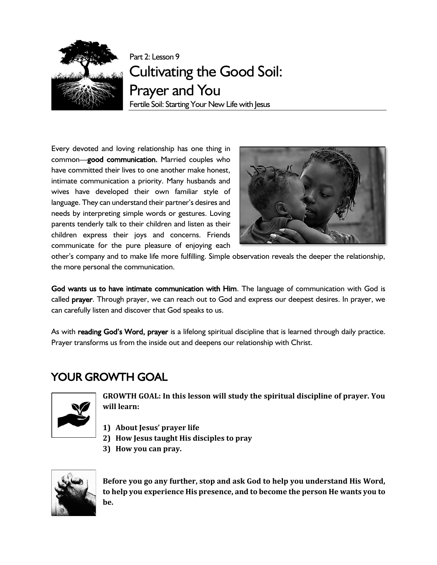

Part 2: Lesson 9 Cultivating the Good Soil: Prayer and You Fertile Soil: Starting Your New Life with Jesus

Every devoted and loving relationship has one thing in common—good communication. Married couples who have committed their lives to one another make honest, intimate communication a priority. Many husbands and wives have developed their own familiar style of language. They can understand their partner's desires and needs by interpreting simple words or gestures. Loving parents tenderly talk to their children and listen as their children express their joys and concerns. Friends communicate for the pure pleasure of enjoying each



other's company and to make life more fulfilling. Simple observation reveals the deeper the relationship, the more personal the communication.

God wants us to have intimate communication with Him. The language of communication with God is called prayer. Through prayer, we can reach out to God and express our deepest desires. In prayer, we can carefully listen and discover that God speaks to us.

As with reading God's Word, prayer is a lifelong spiritual discipline that is learned through daily practice. Prayer transforms us from the inside out and deepens our relationship with Christ.

## YOUR GROWTH GOAL



**GROWTH GOAL: In this lesson will study the spiritual discipline of prayer. You will learn:**

- **1) About Jesus' prayer life**
- **2) How Jesus taught His disciples to pray**
- **3) How you can pray.**



**Before you go any further, stop and ask God to help you understand His Word, to help you experience His presence, and to become the person He wants you to be.**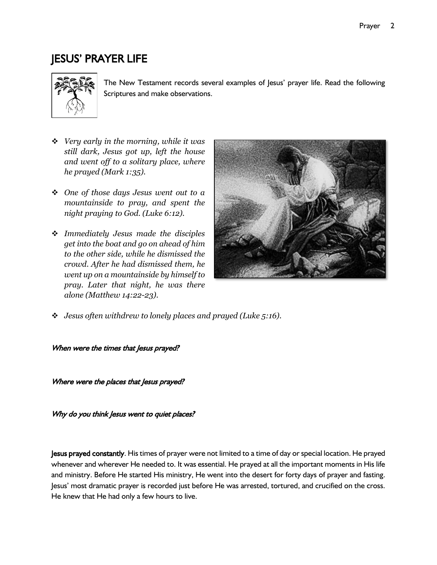## JESUS' PRAYER LIFE



The New Testament records several examples of Jesus' prayer life. Read the following Scriptures and make observations.

- ❖ *Very early in the morning, while it was still dark, Jesus got up, left the house and went off to a solitary place, where he prayed (Mark 1:35).*
- ❖ *One of those days Jesus went out to a mountainside to pray, and spent the night praying to God. (Luke 6:12).*
- ❖ *Immediately Jesus made the disciples get into the boat and go on ahead of him to the other side, while he dismissed the crowd. After he had dismissed them, he went up on a mountainside by himself to pray. Later that night, he was there alone (Matthew 14:22-23).*



❖ *Jesus often withdrew to lonely places and prayed (Luke 5:16).*

When were the times that Jesus prayed?

Where were the places that Jesus prayed?

Why do you think Jesus went to quiet places?

Jesus prayed constantly. His times of prayer were not limited to a time of day or special location. He prayed whenever and wherever He needed to. It was essential. He prayed at all the important moments in His life and ministry. Before He started His ministry, He went into the desert for forty days of prayer and fasting. Jesus' most dramatic prayer is recorded just before He was arrested, tortured, and crucified on the cross. He knew that He had only a few hours to live.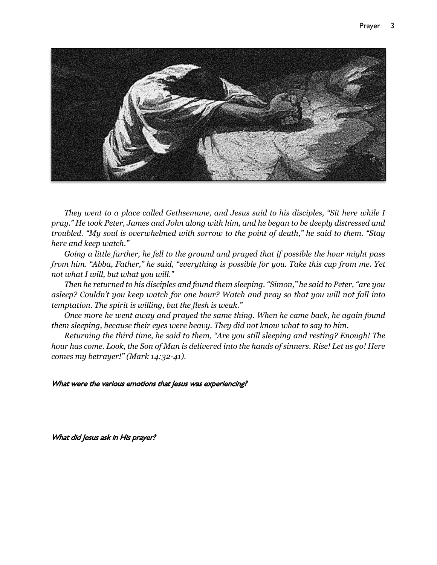

*They went to a place called Gethsemane, and Jesus said to his disciples, "Sit here while I pray." He took Peter, James and John along with him, and he began to be deeply distressed and troubled. "My soul is overwhelmed with sorrow to the point of death," he said to them. "Stay here and keep watch."*

*Going a little farther, he fell to the ground and prayed that if possible the hour might pass from him. "Abba, Father," he said, "everything is possible for you. Take this cup from me. Yet not what I will, but what you will."*

*Then he returned to his disciples and found them sleeping. "Simon," he said to Peter, "are you asleep? Couldn't you keep watch for one hour? Watch and pray so that you will not fall into temptation. The spirit is willing, but the flesh is weak."*

*Once more he went away and prayed the same thing. When he came back, he again found them sleeping, because their eyes were heavy. They did not know what to say to him.*

*Returning the third time, he said to them, "Are you still sleeping and resting? Enough! The hour has come. Look, the Son of Man is delivered into the hands of sinners. Rise! Let us go! Here comes my betrayer!" (Mark 14:32-41).*

#### What were the various emotions that Jesus was experiencing?

What did Jesus ask in His prayer?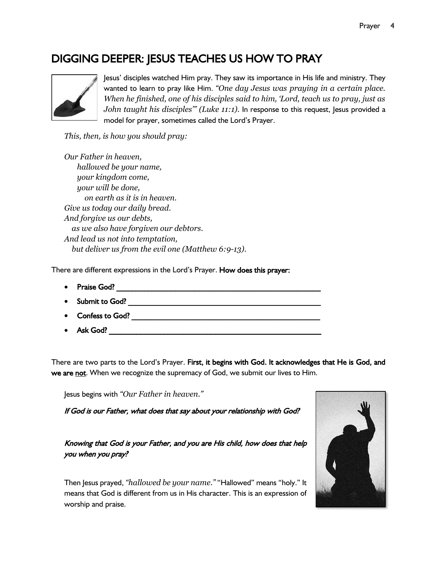## DIGGING DEEPER: JESUS TEACHES US HOW TO PRAY



Jesus' disciples watched Him pray. They saw its importance in His life and ministry. They wanted to learn to pray like Him. *"One day Jesus was praying in a certain place. When he finished, one of his disciples said to him, 'Lord, teach us to pray, just as John taught his disciples"' (Luke 11:1).* In response to this request, Jesus provided a model for prayer, sometimes called the Lord's Prayer.

*This, then, is how you should pray:*

*Our Father in heaven, hallowed be your name, your kingdom come, your will be done, on earth as it is in heaven. Give us today our daily bread. And forgive us our debts, as we also have forgiven our debtors. And lead us not into temptation, but deliver us from the evil one (Matthew 6:9-13).*

There are different expressions in the Lord's Prayer. How does this prayer:

- Praise God? \_\_\_\_\_\_\_\_\_\_\_\_\_\_\_\_\_\_\_\_\_\_\_\_\_\_\_\_\_\_\_\_\_\_\_\_\_\_\_\_\_\_\_\_\_\_\_\_\_\_\_\_
- Submit to God? \_\_\_\_\_\_\_\_\_\_\_\_\_\_\_\_\_\_\_\_\_\_\_\_\_\_\_\_\_\_\_\_\_\_\_\_\_\_\_\_\_\_\_\_\_\_\_\_\_
- $\bullet$  Confess to God?  $\bullet$  Confess to God?
- $\bullet$  Ask God?

There are two parts to the Lord's Prayer. First, it begins with God. It acknowledges that He is God, and we are not. When we recognize the supremacy of God, we submit our lives to Him.

Jesus begins with *"Our Father in heaven."*

If God is our Father, what does that say about your relationship with God?

Knowing that God is your Father, and you are His child, how does that help you when you pray?

Then Jesus prayed, *"hallowed be your name."* "Hallowed" means "holy." It means that God is different from us in His character. This is an expression of worship and praise.

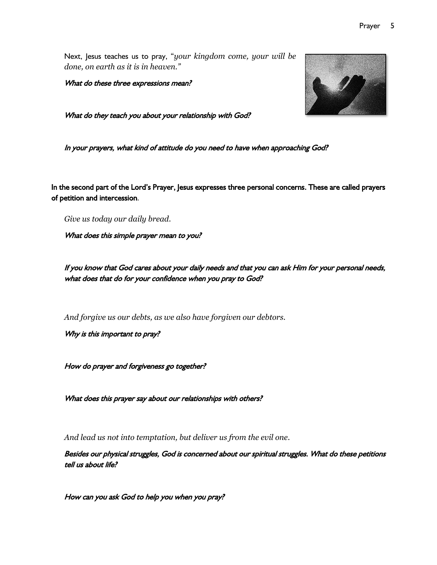Next, Jesus teaches us to pray, "*your kingdom come, your will be done, on earth as it is in heaven."*

What do these three expressions mean?

What do they teach you about your relationship with God?

In your prayers, what kind of attitude do you need to have when approaching God?

In the second part of the Lord's Prayer, Jesus expresses three personal concerns. These are called prayers of petition and intercession.

*Give us today our daily bread.*

What does this simple prayer mean to you?

If you know that God cares about your daily needs and that you can ask Him for your personal needs, what does that do for your confidence when you pray to God?

*And forgive us our debts, as we also have forgiven our debtors.*

Why is this important to pray?

How do prayer and forgiveness go together?

What does this prayer say about our relationships with others?

*And lead us not into temptation, but deliver us from the evil one.*

Besides our physical struggles, God is concerned about our spiritual struggles. What do these petitions tell us about life?

How can you ask God to help you when you pray?

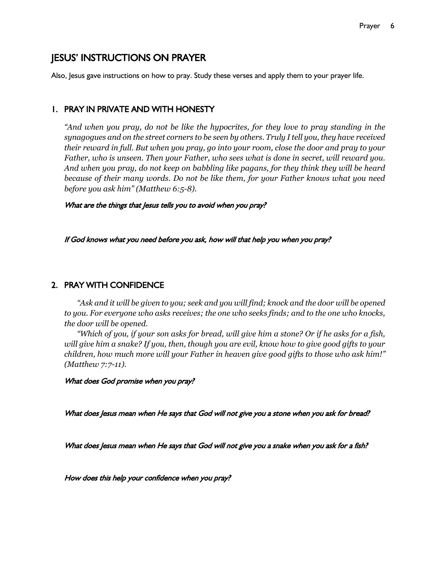## JESUS' INSTRUCTIONS ON PRAYER

Also, Jesus gave instructions on how to pray. Study these verses and apply them to your prayer life.

#### 1. PRAY IN PRIVATE AND WITH HONESTY

*"And when you pray, do not be like the hypocrites, for they love to pray standing in the synagogues and on the street corners to be seen by others. Truly I tell you, they have received their reward in full. But when you pray, go into your room, close the door and pray to your Father, who is unseen. Then your Father, who sees what is done in secret, will reward you. And when you pray, do not keep on babbling like pagans, for they think they will be heard because of their many words. Do not be like them, for your Father knows what you need before you ask him" (Matthew 6:5-8).*

What are the things that Jesus tells you to avoid when you pray?

If God knows what you need before you ask, how will that help you when you pray?

#### 2. PRAY WITH CONFIDENCE

*"Ask and it will be given to you; seek and you will find; knock and the door will be opened to you. For everyone who asks receives; the one who seeks finds; and to the one who knocks, the door will be opened.*

*"Which of you, if your son asks for bread, will give him a stone? Or if he asks for a fish, will give him a snake? If you, then, though you are evil, know how to give good gifts to your children, how much more will your Father in heaven give good gifts to those who ask him!" (Matthew 7:7-11).*

What does God promise when you pray?

What does Jesus mean when He says that God will not give you a stone when you ask for bread?

What does Jesus mean when He says that God will not give you a snake when you ask for a fish?

How does this help your confidence when you pray?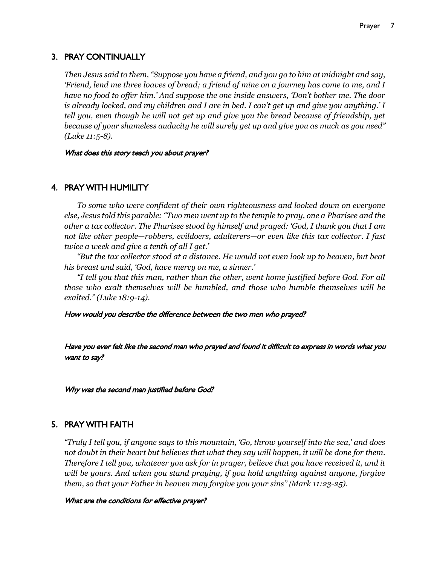#### 3. PRAY CONTINUALLY

*Then Jesus said to them, "Suppose you have a friend, and you go to him at midnight and say, 'Friend, lend me three loaves of bread; a friend of mine on a journey has come to me, and I have no food to offer him.' And suppose the one inside answers, 'Don't bother me. The door is already locked, and my children and I are in bed. I can't get up and give you anything.' I tell you, even though he will not get up and give you the bread because of friendship, yet because of your shameless audacity he will surely get up and give you as much as you need" (Luke 11:5-8).*

What does this story teach you about prayer?

#### 4. PRAY WITH HUMILITY

*To some who were confident of their own righteousness and looked down on everyone else, Jesus told this parable: "Two men went up to the temple to pray, one a Pharisee and the other a tax collector. The Pharisee stood by himself and prayed: 'God, I thank you that I am not like other people—robbers, evildoers, adulterers—or even like this tax collector. I fast twice a week and give a tenth of all I get.'*

*"But the tax collector stood at a distance. He would not even look up to heaven, but beat his breast and said, 'God, have mercy on me, a sinner.'*

*"I tell you that this man, rather than the other, went home justified before God. For all those who exalt themselves will be humbled, and those who humble themselves will be exalted." (Luke 18:9-14).*

How would you describe the difference between the two men who prayed?

Have you ever felt like the second man who prayed and found it difficult to express in words what you want to say?

Why was the second man justified before God?

#### 5. PRAY WITH FAITH

*"Truly I tell you, if anyone says to this mountain, 'Go, throw yourself into the sea,' and does not doubt in their heart but believes that what they say will happen, it will be done for them. Therefore I tell you, whatever you ask for in prayer, believe that you have received it, and it will be yours. And when you stand praying, if you hold anything against anyone, forgive them, so that your Father in heaven may forgive you your sins" (Mark 11:23-25).*

#### What are the conditions for effective prayer?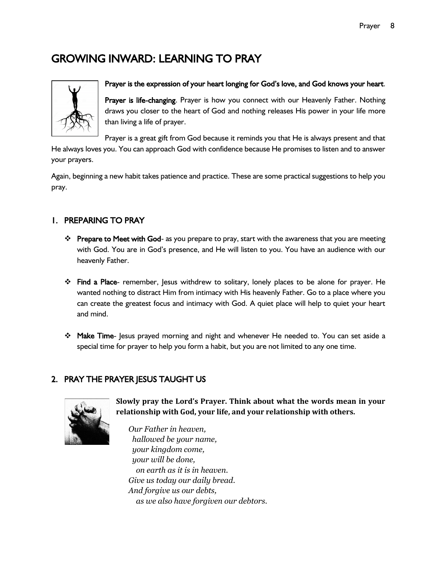# GROWING INWARD: LEARNING TO PRAY



# Prayer is the expression of your heart longing for God's love, and God knows your heart.

Prayer is life-changing. Prayer is how you connect with our Heavenly Father. Nothing draws you closer to the heart of God and nothing releases His power in your life more than living a life of prayer.

Prayer is a great gift from God because it reminds you that He is always present and that

He always loves you. You can approach God with confidence because He promises to listen and to answer your prayers.

Again, beginning a new habit takes patience and practice. These are some practical suggestions to help you pray.

#### 1. PREPARING TO PRAY

- ❖ Prepare to Meet with God- as you prepare to pray, start with the awareness that you are meeting with God. You are in God's presence, and He will listen to you. You have an audience with our heavenly Father.
- ❖ Find a Place- remember, Jesus withdrew to solitary, lonely places to be alone for prayer. He wanted nothing to distract Him from intimacy with His heavenly Father. Go to a place where you can create the greatest focus and intimacy with God. A quiet place will help to quiet your heart and mind.
- ❖ Make Time- Jesus prayed morning and night and whenever He needed to. You can set aside a special time for prayer to help you form a habit, but you are not limited to any one time.

### 2. PRAY THE PRAYER JESUS TAUGHT US



**Slowly pray the Lord's Prayer. Think about what the words mean in your relationship with God, your life, and your relationship with others.** 

*Our Father in heaven, hallowed be your name, your kingdom come, your will be done, on earth as it is in heaven. Give us today our daily bread. And forgive us our debts, as we also have forgiven our debtors.*